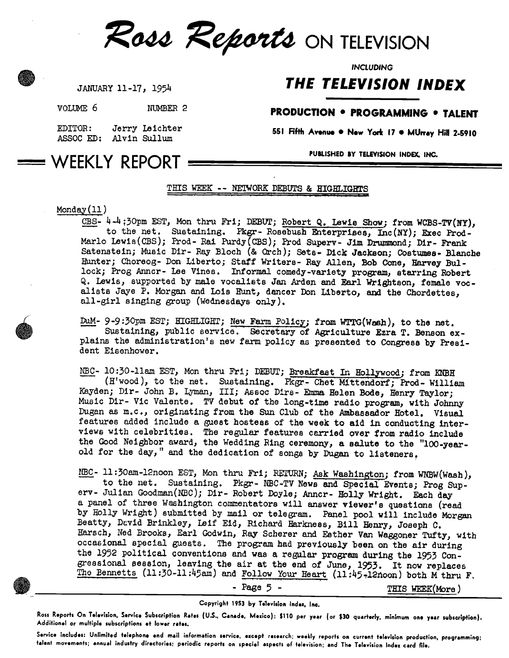

INCLUDING

# THE TELEVISION INDEX

JANUARY 11-17, 1954

VOLUME 6 NUMBER 2

## PRODUCTION . PROGRAMMING . TALENT

551 Fifth Avenue . New York 17 . MUrray Hill 2-5910

EDITOR: ASSOC ED: Alvin Sullum Jerry Leichter

PUBLISHED BY TELEVISION INDEX. INC.

# WEEKLY REPORT

## THIS WEEK -- NETWORK DEBUTS & HIGHLIGHTS

### Monday(11)

CBS- 4-4:30pm EST, Mon thru Fri; DEBUT; Robert Q. Lewis Show; from WCBS-TV(NY), to the net. Sustaining. Pkgr- Rosebush Enterprises; Inc(NY); Exec Prod- Marlo Lewis(CBS); Prod-Rai Purdy(CBS); Prod Superv- Jim Drummond; Dir- Frank Satenstein; Music Dir- Ray Bloch (& Orch); Sets- Dick Jackson; Costumes- Blanche Hunter; Choreog- Don Liberto; Staff Writers- Ray Allen, Bob Cone, Harvey Bullock; Prog Anncr- Lee Vines. Informal comedy-variety program, starring Robert Q. Lewis, supported by male vocalists Jan Arden and Earl Wrightson, female vocalists Jaye P. Morgan and Lois Hunt, dancer Don Liberto, and the Chordettes, all -girl singing group (Wednesdays only).

DUM- 9-9:30pm EST; HIGHLIGHT; New Farm Policy; from WTTG(Waeh), to the net. Sustaining, public service. Secretary of Agriculture Ezra T. Benson explains the administration's new farm policy as presented to Congress by President Eisenhower.

NBC- 10:30-11am EST, Mon thru Fri; DEBUT; Breakfast In Hollywood; from MOH (H'wood), to the net. Sustaining. Pkgr- Chet Nittendorf; Prod- William Hayden; Dir- John B. Lyman, III; Assoc Dire- Emma Helen Bode, Henry Taylor; Music Dir- Vic Valente. TV debut of the long-time radio program, with Johnny Dugan as m.c., originating from the Sun Club of the Ambassador Hotel. Visual features added include a guest hostess of the week to aid in conducting interviews with celebrities. The regular features carried over from radio include the Good Neighbor award, the Wedding Ring ceremony, a salute to the "100-yearold for the day," and the dedication of songs by Dugan to listeners.

NBC- 11:30am-12noon EST, Mon thru Fri; RETURN; Ask Washington; from WNBW(Wash), to the net. Sustaining. Pkgr- NBC-TV News and Special Events; Prog Superv- Julian Goodman(NBC); Dir- Robert Doyle; Anncr- Holly Wright. Each day a panel of three Washington commentators will answer viewer's questions (read by Holly Wright) submitted by mail or telegram. Panel pool will include Morgan Beatty, David Brinkley, Leif Eid, Richard Harkness, Bill Henry, Joseph C. Barsch, Ned Brooks, Earl Godwin, Ray Scherer and Esther Van Waggoner Tufty, with occasional special guests. The program had previously been on the air during the 1952 political conventions and was a regular program during the 1953 Congressional session, leaving the air at the end of June, 1953. It now replaces The Bennetts (11:30-11:45am) and Follow Your Heart (11:45,12noon) both M thru F.

- Page 5 - THIS WEEK(More)

#### Copyright 1953 by Television Index, Inc,

Ross Reports On Television, Service Subscription Rates (US., Canada, Mexico): \$110 per year (or \$30 quarterly, minimum ono year subscription). Additional or multiple subscriptions at lower rates.

Service includes: Unlimited telephone and mail information service, except research; weekly reports on current television production, programming; talent movements; annual industry directories; periodic reports on special aspects of television; and The Television Index card file.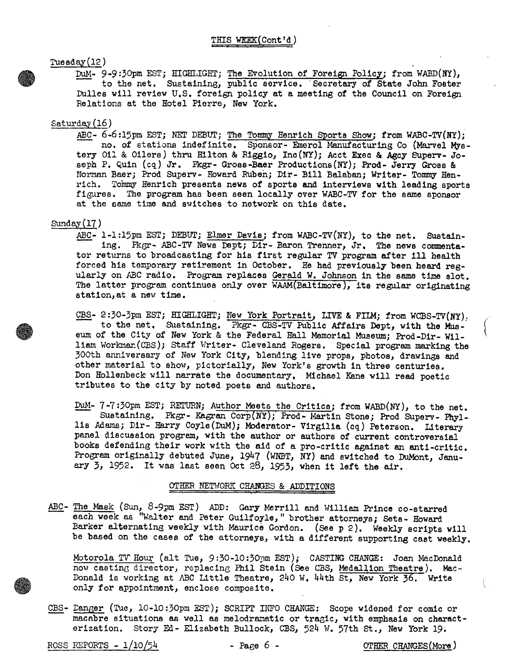Tuesday(12)

DuM- 9-9:30pm EST; HIGHLIGHT; The Evolution of Foreign Policy; from WABD(NY), to the net. Sustaining, public service. Secretary of State John Foster Dulles will review U.S. foreign policy at a meeting of the Council on Foreign Relations at the Hotel Pierre, New York.

### Saturday(16)

ABC- 6-6:15pm EST; NET DEBUT; The Tommy Henrich Sports Show; from WABC-TV(NY); no. of stations indefinite. Sponsor- Emerol Manufacturing Co (Marvel Mystery Oil & Oilers) thru Hilton & Riggio, Ino(NY); Acct Exec & Agcy Superv- Joseph P. Quin (cq) Jr. Pkgr- Gross -Baer Productions(NY); Prod- Jerry Gross & Norman Baer; Prod Superv- Howard Ruben; Dir- Bill Balaban; Writer- Tommy Hen rich. Tommy Henrich presents news of sports and interviews with leading sports figures. The program has been seen locally over WABC-TV for the same sponsor at the same time and switches to network on this date.

#### Sunday(17)

ABC- 1-1:15pm EST; DEBUT; Elmer Davis; from WABC-TV(NY), to the net. Sustaining. Pkgr- ABC-TV News Dept; Dir- Baron Trenner, Jr. The news commentator returns to broadcasting for his first regular TV program after ill health forced his temporary retirement in October. He had previously been heard regularly on ABC radio. Program replaces Gerald W. Johnson in the same time slot. The latter program continues only over WAAM(Baltimore), its regular originating station,at a new time.

CBS- 2:30-3pm EST; HIGHLIGHT; New York Portrait, LIVE & FILM; from WCBS-TV(NY): to the net. Sustaining. 'Pkgr- CBS-TV Public Affairs Dept, with the Museum of the City of New York & the Federal Hall Memorial Museum; Prod-Dir- William Workman(CBS); Staff Writer- Cleveland Rogers. Special program marking the 300th anniversary of New York City, blending live props, photos, drawings and other material to show, pictorially, New York's growth in three centuries. Don Hollenbeck will narrate the documentary, Michael Kane will read poetic tributes to the city by noted poets and authors.

DUM- 7-7:30pm EST; RETURN; Author Meets the Critics; from WABD(NY), to the net. Sustaining. Pkgr- Kagran Corp(NY); Prod- Martin Stone; Prod Superv- Phyllis Adams; Dir- Harry Coyle(DuM); Moderator- Virgilia (cq) Peterson. Literary panel discussion program, with the author or authors of current controversial books defending their work with the aid of a pro -critic against an anti -critic. Program originally debuted June, 1947 (WNBT, NY) and switched to DuMont, January 3, 1952. It was last seen Oct 28, 1953, when it left the air.

#### OTHER NETWORK CHANGES & ADDITIONS

ABC- The Mask (Sun, 8-9pm EST) ADD: Gary Merrill and William Prince co-starred each week as "Walter and Peter Guilfoyle," brother attorneys; Sets- Howard Barker alternating weekly with Maurice Gordon. (See p 2). Weekly scripts will be based on the cases of the attorneys, with a different supporting cast weekly.

Motorola TV Hour (alt Tue, 9:30-10:30pm EST); CASTING CHANGE: Joan MacDonald now casting director, replacing Phil Stein (See CBS, Medallion Theatre). Mac-Donald is working at ABC Little Theatre, 240 W. 44th St, New York 36. Write only for appointment, enclose composite.

CBS- Langer (Tue, 10-10:30pm EST); SCRIPT INFO CHANGE: Scope widened for comic or macabre situations as well as melodramatic or tragic, with emphasis on characterization. Story Ed- Elizabeth Bullock, CBS, 524 W. 57th St., New York 19.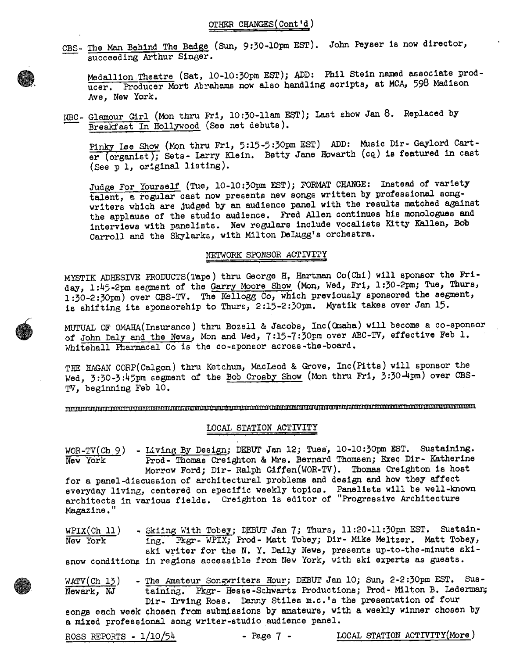CBS- The Man Behind The Badge (Sun, 9:30-10pm EST). John Peyser is now director, succeeding Arthur Singer.

Medallion. Theatre (Sat, 10-10:30pm EST); ADD: Phil Stein named associate producer. Producer Mort Abrahams now also handling scripts, at MCA, 598 Madison Ave, New York.

NBC- Glamour Girl (Mon thru Fri, 10:30-11am EST); Last show Jan 8. Replaced by Breakfast In Hollywood (See net debuts).

Pinky Lee Show (Mon thru Fri, 5:15-5:30pm EST) ADD: Music Dir- Gaylord Carter (organist); Sets- Larry Klein. Betty Jane Howarth (cq) is featured in cast (See p 1, original listing).

Judge For Yourself (Tue, 10-10:30pm EST); FORMAT CHANGE: Instead of variety talent, a regular cast now presents new songs written by professional songwriters which are judged by an audience panel with the results matched against the applause of the studio audience. Fred Allen continues his monologues and interviews with panelists. New regulars include vocalists Kitty Kellen, Bob Carroll and the Skylarks, with Milton DeLugg's orchestra.

#### NETWORK SPONSOR ACTIVITY

MYSTIK ADHESIVE PRODUCTS(Tape) thru George H, Hartman Co(Chi) will sponsor the Friday, 1:45-2pm segment of the Garry Moore Show (Mon, Wed, Fri, 1:30-2pm; Tue, Thurs, 1:30-2:30pm) over CBS-TV. The Kellogg Co, which previously sponsored the segment, is shifting its sponsorship to Thurs, 2:15-2:30pm. Myetik takes over Jan 15.

MUTUAL OF OMAHA(Insurance) thru Bozell & Jacobs, Inc(Omaha) will become a co-sponsor of John Daly and the News, Mon and Wed, 7:15-7:30pm over ABC-TV, effective Feb 1. Whitehall Pharmacal Co is the co-sponsor across-the-board,

THE HAGAN CORP(Calgon) thru Ketchum, MacLeod & Grove, Inc(Pitts) will sponsor the Wed, 3:30-3:45pm segment of the Bob Crosby Show (Mon thru Fri, 3:30-4pm) over CBS - TV, beginning Feb 10.

M di 11 41111 11 11 iiiii 1101! Id IMO 14411 if 14 1011 11110 11111 14114 Of Os 14 St iiiii 444 1111 10144/ M Ol 11)11148 M11111111 44444414 1144 4141144 1114141414114441141441 444 4141111414141414

### LOCAL STATION ACTIVITY

WOR-TV(Ch 9) - Living By Design; DEBUT Jan 12; Tues, 10-10:30pm EST. Sustaining.<br>New York Prod-Thomas Creighton & Mrs. Bernard Thomsen; Exec Dir- Katherine Prod- Thomas Creighton & Mrs. Bernard Thomsen; Exec Dir- Katherine Morrow Ford; Dir- Ralph Giffen(WOR-TV). Thomas Creighton is host for a panel -discussion of architectural problems and design and how they affect everyday living, centered on specific weekly topics. Panelists will be well-known architects in various fields. Creighton is editor of "Progressive Architecture Magazine."

 $WPIX(Ch 11)$ New York snow conditions in regions accessible from New York, with ski experts as guests. Skiing With Tobey; DEBUT Jan 7; Thurs, 11:20-11:30pm EST. Sustaining. Pkgr- WPIX; Prod- Matt Tobey; Dir- Mike Meltzer. Matt Tobey, ski writer for the N. Y. Daily News, presents up-to-the-minute ski -

WATV(Ch 13) - The Amateur Songwriters Hour; DEBUT Jan 10; Sun, 2-2:30pm EST. Sus-Newark, NJ taining. Pkgr- Hesse-Schwartz Productions; Prod- Milton B. Lederman; Dir- Irving Ross. Danny Stiles m.c.'s the presentation of four songs each week chosen from submIssions by amateurs, with a weekly winner chosen by a mixed professional song writer -studio audience panel.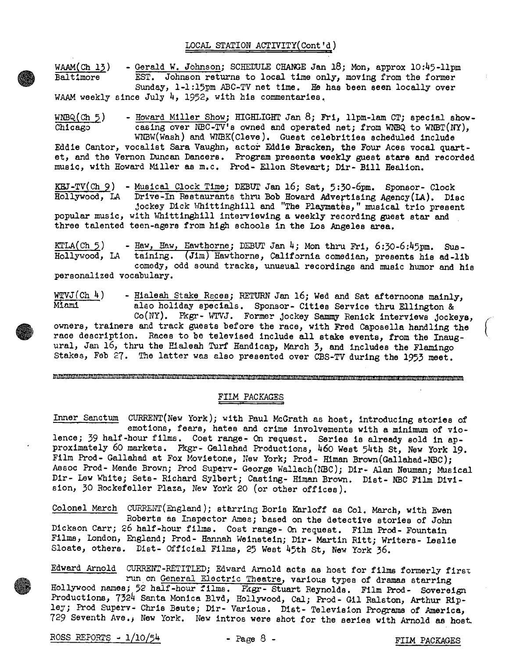LOCAL STATION ACTIWITY(Cont'd)

WAAM(Ch 13) - Gerald W. Johnson; SCHEDULE CHANGE Jan 18; Mon, approx 10:45-11pm Baltimore EST. Johnson returns to local time only. moving from the former EST. Johnson returns to local time only, moving from the former Sunday, 1-1:15pm ABC-TV net time. He has been seen locally over WAAM weekly since July 4, 1952, with his commentaries.

WNBQ(Ch 5) - Howard Miller Show; HIGHLIGHT Jan 8; Fri, llpm-lam CT; special show-<br>Chicago casing over NBC-TV's owned and operated net; from WNBQ to WNBT(NY), casing over NBC-TV's owned and operated net; from WNBQ to WNBT(NY), WNBW(Wash) and WNBK(Cleve). Guest celebrities scheduled include

Eddie Cantor, vocalist Sara Vaughn, actor Eddie Bracken, the Four Aces vocal quartet, and the Vernon Duncan Dancers. Program presents weekly guest stars and recorded music, with Howard Miller as m.c. Prod- Ellen Stewart; Dir- Bill Healion.

KEJ-TV(Ch 9) - Musical Clock Time; DEBUT Jan 16; Sat, 5:30-6pm. Sponsor- Clock<br>Hollywood, LA Drive-In Restaurants thru Bob Howard Advertising Agency(LA). Dis Drive-In Restaurants thru Bob Howard Advertising Agency(LA). Disc jockey Dick Whittinghill and "The Playmates," musical trio present popular music, with Whittinghill interviewing a weekly recording guest star and

three talented teen-agers from high schools in the Los Angeles area.

KTLA(Ch  $5$ ) - Haw, Haw, Hawthorne; DEBUT Jan 4; Mon thru Fri, 6:30-6:45pm. Sus-Hollywood, LA taining. (Jim) Hawthorne, California comedian, presents his ad-lib comedy, odd sound tracks, unusual recordings and music humor and his personalized vocabulary.

 $\frac{W\text{VUJ}(Ch\ \text{h})}{H\text{lambda}}$  - Hialeah Stake Races; RETURN Jan 16; Wed and Sat afternoons mainly,<br>Miami also holiday specials. Sponsor- Cities Service thru Ellington & also holiday specials. Sponsor- Cities Service thru Ellington & Co(NY). Pkgr- WTVJ. Former jockey Sammy Renick interviews jockeys, owners, trainers and track guests before the race, with Fred Caposella handling the

race description. Races to be televised include all stake events, from the Inaugural, Jan 16, thru the Hialeah Turf Handicap, March 3, and includes the Flamingo Stakes, Feb 27. The latter was also presented over CBS-TV during the 1953 meet.

#### mmunammangan manangalang manangan manangan na manangan manangan ng manangan ng manangan ng manangan ng manang

### FILM PACKAGES

Inner Sanctum CURRENT(New York); with Paul McGrath as host, introducing stories of emotions, fears, hates and crime involvements with a minimum of violence; 39 half-hour films. Cost range- On request. Series is already sold in approximately 60 markets. Fkgr- Gallahad Productions, 460 West 54th St, New York 19. Film Prod- Gallahad at Fox Movietone, New York; Prod- Himan Brown(Gallahad-NBC); Assoc Prod- Mende Brown; Prod Superv- George Wallach(NBC); Dir- Alan Neuman; Musical Dir- Lew White; Sets- Richard Sylbert; Casting- Himan Brown. Dist- NBC Film Division, 30 Rockefeller Plaza, New York 20 (or other offices).

Colonel March CURRENT(England); starring Boris Karloff as Col. March, with Ewen Roberts as Inspector Ames; based on the detective stories of John Dickson Carr; 26 half-hour films. Cost range- On request. Film Prod- Fountain Films, London, England; Prod- Hannah Weinstein; Dir- Martin Ritt; Writers- Leslie Sloate, others. Dist- Official Films, 25 West 45th St, New York 36.

Edward Arnold CURRENT -RETITLED; Edward Arnold acts as host for films formerly first run on General Electric Theatre, various types of dramas starring Hollywood names; 52 half-hour films. Pkgr- Stuart Reynolds. Film Prod- Sovereign Productions, 7324 Santa Monica Blvd, Hollywood, Cal; Prod- Gil Ralston, Arthur Ripley; Prod Superv, Chris Beute; Dir- Various. Dist- Television Programs of America, 729 Seventh Ave.) New York. New intros were shot for the series with Arnold as host.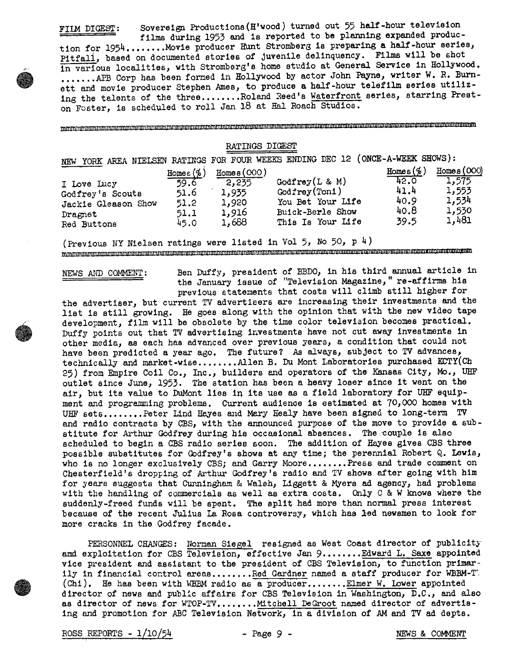Sovereign Productions (H'wood) turned out 55 half-hour television FILM DIGEST: films during 1953 and is reported to be planning expanded produc-

tion for 1954........Movie producer Hunt Stromberg is preparing a half-hour series, Pitfall, based on documented stories of juvenile delinquency. Films will be shot in various localities, with Stromberg's home studio at General Service in Hollywood. ....... APB Corp has been formed in Hollywood by actor John Payne, writer W. R. Burnett and movie producer Stephen Ames, to produce a half-hour telefilm series utilizing the talents of the three........Roland Reed's Waterfront series, starring Preston Foster, is scheduled to roll Jan 18 at Hal Roach Studios.

### RATINGS DIGEST

| <b>NEW</b>          |               |             | YORK AREA NIELSEN RATINGS FOR FOUR WEEKS ENDING DEC 12 (ONCE-A-WEEK SHOWS): |              |             |
|---------------------|---------------|-------------|-----------------------------------------------------------------------------|--------------|-------------|
|                     | Homes $(\% )$ | Homea (000) |                                                                             | Homes $(\%)$ | Homes (000) |
| I Love Lucy         | 59.6          | 2,235       | Godfrey $(L & M)$                                                           | 42.0         | 1,575       |
| Godfrey's Scouts    | 51.6          | 1,935       | $\texttt{Godfrey}(\texttt{T} \texttt{on1})$                                 | 41.4         | 1,553       |
| Jackie Gleason Show | 51.2          | 1,920       | You Bet Your Life                                                           | 40.9         | 1,534       |
| Dragnet             | 51.1          | 1,916       | Buick-Berle Show                                                            | 40.8         | 1,530       |
| Red Buttons         | 45.0          | 1,688       | This Is Your Life                                                           | 39.5         | 1,481       |

(Previous NY Nielsen ratings were listed in Vol 5, No 50, p 4)  $\label{prop:main} \begin{minip} \textit{min} \textit{min} \textit{min} \textit{min} \textit{min} \textit{min} \textit{min} \textit{min} \textit{min} \textit{min} \textit{min} \textit{min} \textit{min} \textit{min} \textit{min} \textit{min} \textit{min} \textit{min} \textit{min} \textit{min} \textit{min} \textit{min} \textit{min} \textit{min} \textit{min} \textit{min} \textit{min} \textit{min} \textit{min} \textit{min} \textit{min} \textit{min} \textit{min} \textit{min} \textit$ 

#### NEWS AND COMMENT:

Ben Duffy, president of BBDO, in his third annual article in the January issue of "Television Magazine," re-affirms his previous statements that costs will climb still higher for

the advertiser, but current TV advertisers are increasing their investments and the list is still growing. He goes along with the opinion that with the new video tape development, film will be obsolete by the time color television becomes practical. Duffy points out that TV advertising investments have not cut away investments in other media, as each has advanced over previous years, a condition that could not have been predicted a year ago. The future? As always, subject to TV advances, technically and market-wise........Allen B. Du Mont Laboratories purchased KCTY(Ch 25) from Empire Coil Co., Inc., builders and operators of the Kansas City, Mo., UHF outlet since June, 1953. The station has been a heavy loser since it went on the air, but its value to DuMont lies in its use as a field laboratory for UHF equipment and programming problems. Current audience is estimated at 70,000 homes with UHF sets........Peter Lind Hayes and Mary Healy have been signed to long-term TV and radio contracts by CBS, with the announced purpose of the move to provide a substitute for Arthur Godfrey during his occasional absences. The couple is also scheduled to begin a CBS radio series soon. The addition of Hayes gives CBS three possible substitutes for Godfrey's shows at any time; the perennial Robert Q. Lewis, who is no longer exclusively CBS; and Garry Moore........ Press and trade comment on Chesterfield's dropping of Arthur Godfrey's radio and TV shows after going with him for years suggests that Cunningham & Walsh, Liggett & Myers ad agency, had problems with the handling of commercials as well as extra costs. Only  $C & W$  knows where the suddenly-freed funds will be spent. The split had more than normal press interest because of the recent Julius La Rosa controversy, which has led newsmen to look for more cracks in the Godfrey facade.

PERSONNEL CHANGES: Norman Siegel resigned as West Coast director of publicity and exploitation for CBS Television, effective Jan 9....... Edward L. Saxe appointed vice president and assistant to the president of CBS Television, to function primarily in financial control areas........Red Gardner named a staff producer for WBBM-T. (Chi). He has been with WBBM radio as a producer.......Elmer W. Lower appointed director of news and public affairs for CBS Television in Washington, D.C., and also as director of news for WTOP-TV........Mitchell DeGroot named director of advertising and promotion for ABC Television Network, in a division of AM and TV ad depts.

ROSS REPORTS -  $1/10/54$ 

NEWS & COMMENT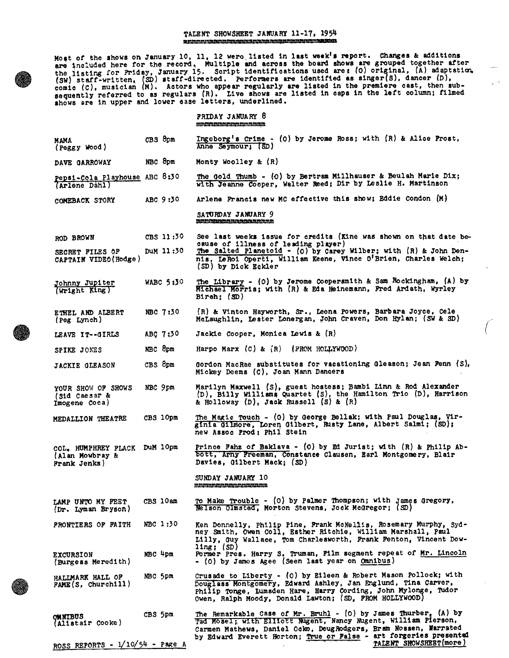#### TALENT SHOWSHEET JANUARY 11-17, 1954 Iftli It It tottat.tttItt ttttt ..... It. ttttt lilts. t'ift11.1t.) ,,,,, ti.101.5tOttit..

Most of the shows on January 10. 11, 12 were, listed in last week's report. Changes & additions are included here for the record. Multiple and across the board shows are grouped together after the listing for Friday, January 15. Script identifications used are; (0) original, (A) adaptatim, (SW) staff -written, ISO) staff -directed. performers are identified as singer(S), dancer (D). comic (C), musician (M). Actors who appear regularly are listed in the premiere cast, then subsequently referred to as regulars (R). Live shows are listed in caps in the left column; filmed shows are in upper and lower ease letters, underlined.

|                                                                 |             | FRIDAY JANUARY 8<br><u>mininininininininininininin</u>                                                                                                                                                                                                       |
|-----------------------------------------------------------------|-------------|--------------------------------------------------------------------------------------------------------------------------------------------------------------------------------------------------------------------------------------------------------------|
| MAMA<br>(Peggy Wood)                                            | CBS 8pm     | Ingeborg's Crime - (0) by Jerome Ross; with $(R)$ & Alice Prost,<br>Anne Seymour; (SD)                                                                                                                                                                       |
| DAVE GARROWAY                                                   | NBC 8pm     | Monty Woolley & $(R)$                                                                                                                                                                                                                                        |
| Pepsi-Cola Playhouse ABC 8:30<br>(Arlene Dahl)                  |             | The Gold Thumb - (0) by Bertram Millhauser & Beulah Marie Dix;<br>with Jeanne Cooper, Walter Reed; Dir by Leslie H. Martinson                                                                                                                                |
| COMEBACK STORY                                                  | ABC 9:30    | Arlene Francis new MC effective this show; Eddie Condon (M)                                                                                                                                                                                                  |
|                                                                 |             | SATURDAY JANUARY 9<br><u>man faterna in in in in faterna in faterna in </u>                                                                                                                                                                                  |
| ROD BROWN                                                       | CBS 11:30   | See last weeks issue for credits (Kine was shown on that date be-<br>cause of illness of leading player)                                                                                                                                                     |
| SECRET FILES OF<br>CAPTAIN VIDEO (Hodge)                        | DUM 11:30   | The Salted Planetoid - $(0)$ by Carey Wilber; with $(R)$ & John Den-<br>nis, LeRoi Operti, William Keene, Vince O'Brien, Charles Welch;<br>(SD) by Dick Eckler                                                                                               |
| Johnny Jupiter<br>(Wright King)                                 | WABC $5:50$ | The Library - (0) by Jerome Coopersmith & Sam Rockingham, (A) by<br>Michael Morris; with (R) & Eda Heinemann, Fred Ardath, Wyrley<br>Biroh; (SD)                                                                                                             |
| ETHEL AND ALBERT<br>(Peg Lynch)                                 | NBC 7:30    | (R) & Vinton Hayworth, Sr., Leona Powers, Barbara Joyce, Cele<br>McLaughlin, Lester Lonergan, John Craven, Don Hylan; (SW & SD)                                                                                                                              |
| LEAVE IT--GIRLS                                                 | ABC 7:30    | Jackie Cooper, Monica Lewis & (R)                                                                                                                                                                                                                            |
| SPIKE JONES                                                     | NBC 8pm     | Harpo Marx $(C)$ & $(R)$ (FROM HOLLYWOOD)                                                                                                                                                                                                                    |
| JACKIE GLEASON                                                  | CBS 8pm     | Gordon MacRae substitutes for vacationing Gleason; Jean Fenn (S),<br>Mickey Deems (C), Joan Mann Dancers                                                                                                                                                     |
| YOUR SHOW OF SHOWS<br>(Sid Caesar &<br>Imogene Coca)            | NBC 9pm     | Marilyn Maxwell (S), guest hostess; Bambi Linn & Rod Alexander<br>$(D)$ , Billy Williams Quartet (S), the Hamilton Trio (D), Harrison<br>& Holloway (D), Jack Russell (S) & (R)                                                                              |
| MEDALLION THEATRE                                               | CBS 10pm    | The Magic Touch - (0) by George Bellak; with Paul Douglas, Vir-<br>ginia Gilmore, Loren Gilbert, Rusty Lane, Albert Salmi; (SD);<br>new Assoc Prod: Phil Stein                                                                                               |
| COL. HUMPHREY FLACK DUM 10pm<br>(Alan Mowbray &<br>Frank Jenks) |             | Prince Fahz of Baklava - (0) by Ed Jurist; with $(R)$ & Philip Ab-<br>bott, Arny Freeman, Constance Clausen, Earl Montgomery, Blair<br>Davies, Gilbert Mack; (SD)                                                                                            |
|                                                                 |             | SUNDAY JANUARY 10                                                                                                                                                                                                                                            |
| LAMP UNTO MY FEET<br>(Dr. Iyman Bryson)                         | CBS 10am    | To Make Trouble - (0) by Palmer Thompson; with James Gregory,<br>Nelson Olmstad, Morton Stevens, Jock McGregor; (SD)                                                                                                                                         |
| <b>FRONTIERS OF FAITH</b>                                       | NBC 1:30    | Ken Donnelly. Philip Pine, Frank McNellis, Rosemary Murphy, Syd-<br>ney Smith, Owen Coll, Esther Ritchie, William Marshall, Paul<br>Lilly, Guy Wallace, Tom Charlesworth, Frank Fenton, Vincent Dow-                                                         |
| <b>EXCURSION</b><br>(Burgess Meredith)                          | NBC 4pm     | ling; $(SD)$<br>Former Pres. Harry S. Truman, Film segment repeat of Mr. Lincoln<br>- (0) by James Agee (Seen last year on Omnibus)                                                                                                                          |
| HALLMARK HALL OF<br>PAME(S, Church11)                           | NBC 5pm     | Crusade to Liberty - (0) by Eileen & Robert Mason Pollock; with<br>Douglass Montgomery, Edward Ashley, Jan Englund, Tina Carver,<br>Philip Tonge, Lumsden Hare, Harry Cording, John Mylonge, Tudor<br>Owen, Ralph Moody, Donald Lawton; (SD, FROM HOLLYWOOD) |
| <b>OMNIBUS</b><br>(Alistair Cooke)                              | CBS 5pm     | The Remarkable Case of Mr. Bruhl - (0) by James Thurber, (A) by<br>Tad Mosel; with Elliott Nugent, Nancy Nugent, William Pierson,<br>Carmen Mathews, Daniel Ocko, DougRodgers, Bram Nossen, Warrated                                                         |

by Edward Everett Horton; <u>True or False</u> - art forgeries presented

TALENT SHOWSHEET(more)





ROSS REPORTS -  $1/10/54$  - Page A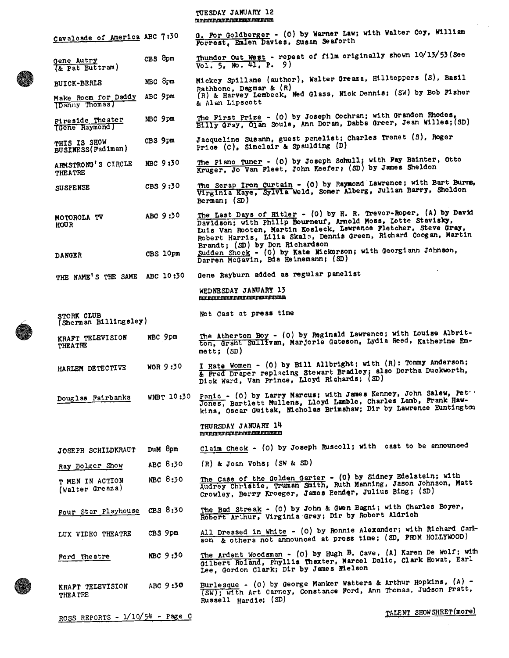# TUESDAY JANUARY 12<br>mombinganananananananana

| Cavaloade of America ABC 7:30         |          | G. For Goldberger - (0) by Warner Law; with Walter Coy, William<br>Forrest, Emlen Davies, Susan Seaforth                                                                                                                                                                                                   |
|---------------------------------------|----------|------------------------------------------------------------------------------------------------------------------------------------------------------------------------------------------------------------------------------------------------------------------------------------------------------------|
| Gene Autry<br>(& Pat Buttram)         | CBS 8pm  | Thunder Out West - repeat of film originally shown 10/13/53 (See<br>$\overline{Vol. 5, No. 41, P. 9}$                                                                                                                                                                                                      |
| <b>BUICK-BERLE</b>                    | NBC 8pm  | Mickey Spillane (author), Walter Greaza, Hilltoppers (S), Basil                                                                                                                                                                                                                                            |
| Make Room for Daddy<br>(Danny Thomas) | ABC 9pm  | Rathbone, Dagmar & $(R)$<br>(R) & Harvey Lembeck, Ned Glass, Nick Dennis; (SW) by Bob Fisher<br>& Alan Lipscott                                                                                                                                                                                            |
| Pireside Theater<br>(Gene Raymond)    | NBC 9pm  | The First Prize - (0) by Joseph Cochran; with Grandon Rhodes,<br>Billy Gray, Olan Soule, Ann Doran, Dabbs Greer, Jean Willes; (SD)                                                                                                                                                                         |
| THIS IS SHOW<br>BUSINESS (Fadiman)    | CBS 9pm  | Jacqueline Susann, guest panelist; Charles Trenet (S), Roger<br>Price (C), Sinclair & Spaulding (D)                                                                                                                                                                                                        |
| ARMSTRONG'S CIRCLE<br>THEATRE         | NBC 9:30 | The Piano Tuner - (0) by Joseph Schull; with Pay Bainter, Otto<br>Kruger, Jo Van Fleet, John Keefer; (SD) by James Sheldon                                                                                                                                                                                 |
| SUSPENSE                              | CBS 9:30 | The Scrap Iron Curtain - (0) by Raymond Lawrence; with Bart Burns.<br>Virginia Kaye, Sylvia Weld, Somer Alberg, Julian Barry, Sheldon<br>Berman; $\langle \text{SD} \rangle$                                                                                                                               |
| MOTOROLA TV<br><b>HOUR</b>            | ABC 9:30 | The Last Days of Hitler - (0) by H. R. Trevor-Roper, (A) by David<br>Davidson; with Philip Bourneuf, Arnold Moss, Lotte Stavisky,<br>Luis Van Rooten, Martin Kosleck, Lawrence Fletcher, Steve Gray,<br>Robert Harris, Lilia Skala, Dennis Green, Richard Coogan, Martin<br>Brandt; (SD) by Don Richardson |
| <b>DANGER</b>                         | CBS 10pm | Sudden Shock - (0) by Kate Mickerson; with Georgiann Johnson,<br>Darren McGavin, Eda Heinemann; (SD)                                                                                                                                                                                                       |
| THE NAME'S THE SAME ABC 10:30         |          | Gene Rayburn added as regular panelist                                                                                                                                                                                                                                                                     |
|                                       |          | WEDNESDAY JANUARY 13<br>mmmmmmmmmmmmmmmmmmm                                                                                                                                                                                                                                                                |
| STORK CLUB<br>(Sherman Billingsley)   |          | Not Cast at press time                                                                                                                                                                                                                                                                                     |
| KRAFT TELEVISION<br><b>THEATRE</b>    | NBC 9pm  | The Atherton Boy - (0) by Reginald Lawrence; with Louise Albrit-<br>ton, Grant Sullivan, Marjorie Gateson, Lydia Reed, Katherine Em-<br>$mett$ ; $(SD)$                                                                                                                                                    |
| HARLEM DETECTIVE                      | WOR 9:30 | I Hate Women - (0) by Bill Allbright; with (R): Tommy Anderson;<br>& Fred Draper replacing Stewart Bradley; also Dortha Duckworth,<br>Dick Ward, Van Prince, Lloyd Richards; (SD)                                                                                                                          |
| Douglas Fairbanks                     |          | WNBT 10:30 Panic - (0) by Larry Marcus; with James Kenney, John Salew, Peter<br>Jones, Bartlett Mullens, Lloyd Lamble, Charles Lamb, Frank Haw-<br>kins, Oscar Guitak, Micholas Brimshaw; Dir by Lawrence Huntington                                                                                       |
|                                       |          | THURSDAY JANUARY 14<br>mmmmmmmmmmmmmmmmmm                                                                                                                                                                                                                                                                  |
| JOSEPH SCHILDKRAUT                    | DuM 8pm  | Claim Check - (0) by Joseph Ruscoll; with cast to be announced                                                                                                                                                                                                                                             |
| Ray Bolger Show                       | ABC 8:30 | (R) & Joan Vohs; (SW & SD)                                                                                                                                                                                                                                                                                 |
| T MEN IN ACTION<br>(Walter Greaza)    | NBC 8:30 | The Case of the Golden Garter - (0) by Sidney Edelstein; with<br>Audrey Christie, Truman Smith, Ruth Manning, Jason Johnson, Matt<br>Crowley, Berry Kroeger, James Bender, Julius Bing; (SD)                                                                                                               |
| Four Star Playhouse                   | CBS 8:30 | The Bad Streak - (0) by John & Gwen Bagni; with Charles Boyer,<br>Robert Arthur, Virginia Grey; Dir by Robert Aldrich                                                                                                                                                                                      |
| LUX VIDEO THEATRE                     | CBS 9pm  | All Dressed in White - (0) by Ronnie Alexander; with Richard Carl-<br>son & others not announced at press time; (SD, FROM HOLLYWOOD)                                                                                                                                                                       |
| Ford Theatre                          | NBC 9:30 | The Ardent Woodsman - (0) by Hugh B. Cave, (A) Karen De Wolf; with<br>Gilbert Roland, Phyllis Thaxter, Marcel Dalio, Clark Howat, Earl<br>Lee, Gordon Clark; Dir by James Mielson                                                                                                                          |
| KRAFT TELEVISION<br><b>THEATRE</b>    | ABC 9:30 | Burlesque - (0) by George Manker Watters & Arthur Hopkins, (A) -<br>(SW); with Art Carney, Constance Ford, Ann Thomas, Judson Pratt,<br>Russell Hardie; (SD)                                                                                                                                               |

ROSS REPORTS -  $1/10/54$  - Page C

TALENT SHOWSHEET(more)

 $\ddot{\phantom{a}}$ 

 $\sim$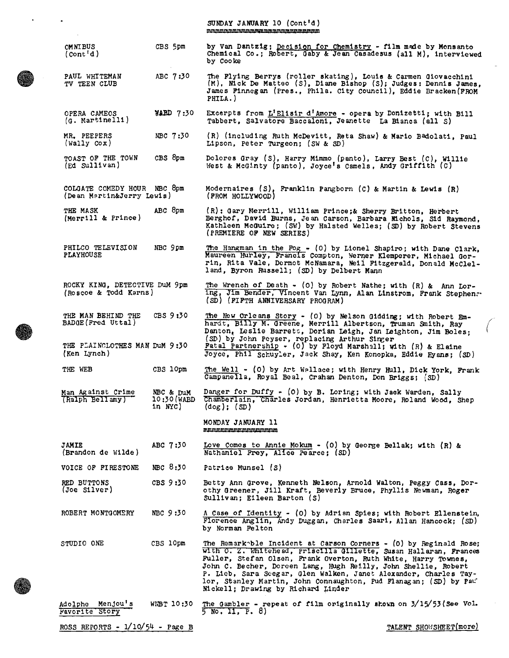| ٠                                                                         |                                          | SUNDAY JANUARY 10 (Cont'd)<br><u>mmmmmmmmmmmmmmmmmmmmmmmmm</u>                                                                                                                                                                                                                                                                                                                                                                                           |
|---------------------------------------------------------------------------|------------------------------------------|----------------------------------------------------------------------------------------------------------------------------------------------------------------------------------------------------------------------------------------------------------------------------------------------------------------------------------------------------------------------------------------------------------------------------------------------------------|
| <b>OMNIBUS</b><br>(Cont <sup>1</sup> d)                                   | CBS 5pm                                  | by Van Dantzig; Decision for Chemistry - film made by Monsanto<br>Chemical Co.; Robert, Gaby & Jean Casadesus (all M), interviewed<br>by Cooke                                                                                                                                                                                                                                                                                                           |
| PAUL WHITEMAN<br>TV TEEN CLUB                                             | ABC 7:30                                 | The Flying Berrys (roller skating), Louis & Carmen Giovacchini<br>(M), Nick De Matteo (S), Diane Bishop (S); Judges: Dennis James,<br>James Finnegan (Pres., Phila. City Council), Eddie Bracken (FROM<br>PHILA.)                                                                                                                                                                                                                                        |
| OPERA CAMEOS<br>$(a. \text{ MartInell1})$                                 | $\texttt{YABD}$ 7:30                     | Excerpts from L'Elisir d'Amore - opera by Donizetti; with Bill<br>Tabbert, Salvatore Baccaloni, Jeanette La Bianca (all S)                                                                                                                                                                                                                                                                                                                               |
| MR. PEEPERS<br>(Wally Cov)                                                | NBC 7:30                                 | (R) (including Ruth McDevitt, Reta Shaw) & Mario Badolati, Paul<br>Lipson, Peter Turgeon; $(SW & SD)$                                                                                                                                                                                                                                                                                                                                                    |
| TOAST OF THE TOWN<br>$(\text{Ed} \text{ Sullivan})$                       | CBS 8pm                                  | Dolores Gray (S), Harry Mimmo (panto), Larry Best (C), Willie<br>West & McGinty (panto), Joyce's Camels, Andy Griffith $(c)$                                                                                                                                                                                                                                                                                                                             |
| COLGATE COMEDY HOUR NBC 8pm<br>(Dean Martin&Jerry Lewis)                  |                                          | Modernaires (S), Franklin Pangborn (C) & Martin & Lewis (R)<br>(FROM HOLLYWOOD)                                                                                                                                                                                                                                                                                                                                                                          |
| THE MASK<br>(Merrill & Prince)                                            | ABC 8pm                                  | (R): Gary Merrill, William Prince;& Sherry Britton, Herbert<br>Berghof, David Burns, Jean Carson, Barbara Michols, Sid Raymond.<br>Kathleen McGuire; (SW) by Halsted Welles; (SD) by Robert Stevens<br>(PREMIERE OF NEW SERIES)                                                                                                                                                                                                                          |
| PHILCO TELEVISION<br><b>PLAYHOUSE</b>                                     | NBC 9pm                                  | The Hangman in the Fog - (0) by Lionel Shapiro; with Dane Clark.<br>Maureen Hurley, Francis Compton, Werner Klemperer, Michael Gor-<br>rin, Rita Vale, Dermot McNamara, Neil Fitzgerald, Donald McClel-<br>land, Byron Russell; (SD) by Delbert Mann                                                                                                                                                                                                     |
| ROCKY KING, DETECTIVE DUM 9pm<br>(Roscoe & Todd Karns)                    |                                          | The Wrench of Death - (0) by Robert Nathe; with $(R)$ & Ann Lor-<br>ing, Jim Bender, Vincent Van Lynn, Alan Linstrom, Frank Stephens.<br>(SD) (FIFTH ANNIVERSARY PROGRAM)                                                                                                                                                                                                                                                                                |
| THE MAN BEHIND THE<br>BADGE (Fred Uttal)<br>THE PLAINCLOTHES MAN DUM 9:30 | CBS 9:30                                 | The New Orleans Story - (0) by Nelson Gidding; with Robert Em-<br>hardt, Billy M. Greene, Merrill Albertson, Truman Smith, Ray<br>Danton, Leslie Barrett, Dorian Leigh, Jan Leighton, Jim Boles:<br>(SD) by John Peyser, replacing Arthur Singer<br>Patal Partnership - (0) by Floyd Marshall; with (R) & Elaine                                                                                                                                         |
| (Ken Lynch)                                                               |                                          | Joyce, Phil Schuyler, Jack Shay, Ken Konopka, Eddie Eyans; (SD)                                                                                                                                                                                                                                                                                                                                                                                          |
| THE WEB                                                                   | CBS 10pm                                 | The Well - (0) by Art Wallace; with Henry Hull, Dick York, Frank<br>Campanella, Royal Beal, Crahan Denton, Don Briggs; (SD)                                                                                                                                                                                                                                                                                                                              |
| Man Against Crime<br>(Ralph Bellamy)                                      | NBC & DuM<br>$10:30$ (WABD<br>in $NTC$ ) | Danger for Duffy - (0) by B. Loring; with Jack Warden, Sally<br>Chamberlain, Charles Jordan, Henrietta Moore, Roland Wood, Shep<br>$\text{(dog)}$ ; $\text{(SD)}$                                                                                                                                                                                                                                                                                        |
|                                                                           |                                          | MONDAY JANUARY 11<br>mpuninmmmmmmmmmmmm                                                                                                                                                                                                                                                                                                                                                                                                                  |
| <b>JAMIE</b><br>(Brandon de Wilde)                                        | ABC 7:30                                 | Love Comes to Annie Mokum - (0) by George Bellak; with $(R)$ &<br>Nathaniel Prey, Alice Pearce: (SD)                                                                                                                                                                                                                                                                                                                                                     |
| VOICE OF FIRESTONE                                                        | NBC 8:30                                 | Patrice Munsel (S)                                                                                                                                                                                                                                                                                                                                                                                                                                       |
| RED BUTTONS<br>(Joe Sliver)                                               | CBS 9:30                                 | Betty Ann Grove, Kenneth Nelson, Arnold Walton, Peggy Cass, Dor-<br>othy Greener, Jill Kraft, Beverly Bruce, Phyllis Newman, Roger<br>Sullivan; Eileen Barton (S)                                                                                                                                                                                                                                                                                        |
| ROBERT MONTGOMERY                                                         | NBC 9:30                                 | A Case of Identity - (0) by Adrian Spies; with Robert Ellenstein,<br>Florence Anglin, Andy Duggan, Charles Saari, Allan Hancock: (SD)<br>by Norman Felton                                                                                                                                                                                                                                                                                                |
| STUDIO ONE                                                                | CBS 10pm                                 | The Remark ble Incident at Carson Corners - (0) by Reginald Rose;<br>with O. Z. Whitehead, Priscilla Gillette, Susan Hallaran, Frances<br>Fuller, Stefan Olsen, Frank Overton, Ruth White, Harry Townes,<br>John C. Becher, Doreen Lang, Hugh Reilly, John Shellie, Robert<br>P. Lieb, Sara Seegar, Glen Walken, Janet Alexander, Charles Tay-<br>lor, Stanley Martin, John Connaughton, Pud Flanagan; (SD) by Pau<br>Mickell; Drawing by Richard Linder |
| Menjou's<br>Adolphe<br>Favorite Story                                     | WIBT 10:30                               | The Gambler - repeat of film originally shown on $3/15/53$ (See Vol.<br>$5 \text{ No. II, F. } 8)$                                                                                                                                                                                                                                                                                                                                                       |

ROSS REPORTS - 1/10/54 - Page B

 $\ddot{\phantom{0}}$ 

 $\ddot{\phantom{a}}$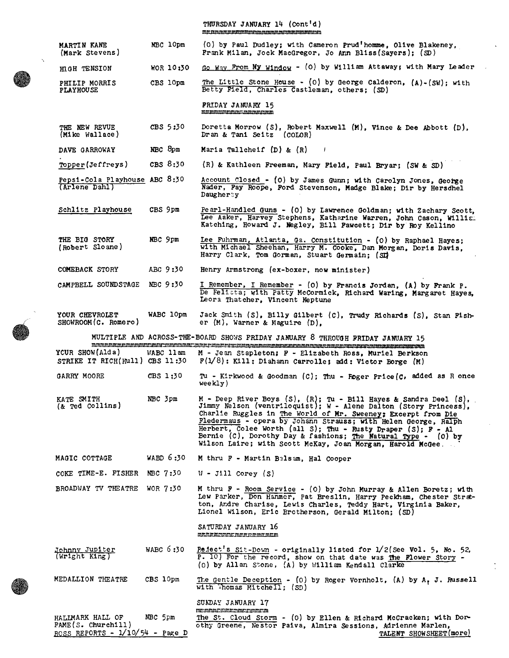| THURSDAY JANUARY 14 (Cont'd)                             |  |  |  |  |  |
|----------------------------------------------------------|--|--|--|--|--|
| <u>minia minia minia minia minia minia minia minia m</u> |  |  |  |  |  |

| MARTIN KANE<br>(Mark Stevens)                                               | NBC 10pm   | (0) by Paul Dudley; with Cameron Prud'homme, Olive Blakeney,<br>Frank Milan, Jock MacGregor, Jo Ann Bliss (Sayers); (SD)                                                                                                                                                                                                                                                                                                                                              |
|-----------------------------------------------------------------------------|------------|-----------------------------------------------------------------------------------------------------------------------------------------------------------------------------------------------------------------------------------------------------------------------------------------------------------------------------------------------------------------------------------------------------------------------------------------------------------------------|
| HIGH TENSION                                                                | MOR 10:30  | Go Way From My Window - (0) by William Attaway; with Mary Leader                                                                                                                                                                                                                                                                                                                                                                                                      |
| PHILIP MORRIS<br><b>PLAYHOUSE</b>                                           | CBS 10pm   | The Little Stone House - (0) by George Calderon, $(A) - (SW)$ ; with<br>Betty Pield, Charles Castleman, others; (SD)                                                                                                                                                                                                                                                                                                                                                  |
|                                                                             |            | <b>FRIDAY JANUARY 15</b><br>miniminiminiminiminiminimini                                                                                                                                                                                                                                                                                                                                                                                                              |
| THE NEW REVUE<br>(Mike Wallace)                                             | CBS 5:30   | Doretta Morrow (S), Robert Maxwell $(M)$ , Vince & Dee Abbott $(D)$ ,<br>Dran & Tani Seitz (COLOR)                                                                                                                                                                                                                                                                                                                                                                    |
| DAVE GARROWAY                                                               | NBC 8pm    | Maria Tallcheif $(D)$ & $(R)$                                                                                                                                                                                                                                                                                                                                                                                                                                         |
| Topper(Jeffreys)                                                            | CBS $8:30$ | $(R)$ & Kathleen Freeman, Mary Field, Paul Bryar; (SW & SD)                                                                                                                                                                                                                                                                                                                                                                                                           |
| Pepsi-Cola Playhouse ABC 8:30<br>(Arlene Dahl)                              |            | Account Closed - (0) by James Gunn; with Carolyn Jones, George<br>Nader, Fay Roope, Ford Stevenson, Madge Blake; Dir by Hersdhel<br>Daugherty                                                                                                                                                                                                                                                                                                                         |
| Schlitz Playhouse                                                           | CBS 9pm    | Pearl-Handled Guns - (0) by Lawrence Goldman; with Zachary Scott,<br>Lee Aaker, Harvey Stephens, Katharine Warren, John Cason, William<br>Katching, Howard J. Negley, Bill Pawcett; Dir by Roy Kellino                                                                                                                                                                                                                                                                |
| THE BIG STORY<br>(Robert Sloane)                                            | NBC 9pm    | Lee Fuhrman, Atlanta, Ga. Constitution - (O) by Raphael Hayes;<br>with Michael Sheehan, Harry M. Cooke, Dan Morgan, Doris Davis,<br>Harry Clark, Tom Gorman, Stuart Germain; (SD                                                                                                                                                                                                                                                                                      |
| COMEBACK STORY                                                              | ABC 9:30   | Henry Armstrong (ex-boxer, now minister)                                                                                                                                                                                                                                                                                                                                                                                                                              |
| CAMPBELL SOUNDSTAGE                                                         | NBC 9:30   | I Remember, I Remember - (0) by Francis Jordan, (A) by Frank P.<br>De Felicta; with Patty McCormick, Richard Waring, Margaret Hayes,<br>Leora Thatcher, Vincent Neptune                                                                                                                                                                                                                                                                                               |
| YOUR CHEVROLET<br>SHOWROOM(C. Romero)                                       | WABC 10pm  | Jack Smith (S), Billy Gilbert (C), Trudy Richards (S), Stan Pish-<br>er $(M)$ , Warner & Maguire $(D)$ ,                                                                                                                                                                                                                                                                                                                                                              |
|                                                                             |            | MULTIPLE AND ACROSS-THE-BOARD SHOWS FRIDAY JANUARY 8 THROUGH FRIDAY JANUARY 15                                                                                                                                                                                                                                                                                                                                                                                        |
| YCUR SHOW(Alda)<br>STRIKE IT RICH(Rull) CBS $11:30$                         | WABC 11am  | M - Jean Stapleton; F - Elizabeth Ross, Muriel Berkson<br>$F(1/8)$ : Kill: Diahann Carrolle; add: Victor Borge (M)                                                                                                                                                                                                                                                                                                                                                    |
| GARRY MOORE                                                                 | CBS 1:30   | Tu - Kirkwood & Goodman (C); Thu - Foger Price (C, added as R once<br>weekly)                                                                                                                                                                                                                                                                                                                                                                                         |
| KATE SMITH<br>$\&$ Ted Collins)                                             | NBC 3pm    | $M$ - Deep River Boys (S), (R); Tu - Bill Hayes & Sandra Deel (S), Jimmy Nelson (ventriloquist); W - Alene Dalton (Story Princess),<br>Charlie Ruggles in The World of Mr. Sweeney; Excerpt from Die<br>Fledermaus - opera by Johann Strauss; with Helen George, Ralph<br>Herbert, Colee Worth (all S); Thu - Rusty Draper (S); F - Al<br>Bernie (C), Dorothy Day & fashions; The Natural Type - (0) by<br>Wilson Laire; with Scott McKay, Joan Morgan, Harold McGee. |
| MAGIC COTTAGE                                                               | WABD 6:30  | M thru F - Martin Balsam, Hal Cooper                                                                                                                                                                                                                                                                                                                                                                                                                                  |
| COKE TIME-E. FISHER                                                         | NBC 7:30   | $W - J111$ Corey $(S)$                                                                                                                                                                                                                                                                                                                                                                                                                                                |
| BROADWAY TV THEATRE                                                         | WOR 7:30   | M thru F - Room Service - (0) by John Murray & Allen Boretz; with<br>Lew Parker, Don Hanmer, Pat Breslin, Harry Peckham, Chester Strat-<br>ton, Andre Charise, Lewis Charles, Teddy Hart, Virginia Baker,<br>Lionel Wilson, Eric Brotherson, Gerald Milton; (SD)                                                                                                                                                                                                      |
|                                                                             |            | SATURDAY JANUARY 16<br>MAARMAMMAMAARAHAMAMAM                                                                                                                                                                                                                                                                                                                                                                                                                          |
| Johnny Jupiter<br>$(Writeht$ King)                                          | WABC 6:30  | Reject's Sit-Down - originally listed for 1/2(See Vol. 5, No. 52,<br>P. 10) For the record, show on that date was the Flower Story -<br>(0) by Allan Stone, (A) by William Kendall Clarke                                                                                                                                                                                                                                                                             |
| MEDALLION THEATRE                                                           | CBS 10pm   | The Gentle Deception - (0) by Roger Vornholt, (A) by A, J. Russell<br>with Thomas Mitchell; $(SD)$                                                                                                                                                                                                                                                                                                                                                                    |
|                                                                             |            | SUNDAY JANUARY 17<br><b>MARINARA REGIONAL PROPERTY OF A SET OF A PROPERTY OF A PROPERTY OF A PROPERTY OF A PROPERTY OF A PROPERTY OF A</b>                                                                                                                                                                                                                                                                                                                            |
| HALIMARK HALL OF<br>PAME(S. Church111)<br>ROSS REPORTS - $1/10/54$ - Page D | NBC 5pm    | The St. Cloud Storm - (0) by Ellen & Richard McCracken; with Dor-<br>othy Greene, Nestor Paiva, Almira Sessions, Adrienne Marlen,<br>TALENT SHOWSHEET(more)                                                                                                                                                                                                                                                                                                           |

TALENT SHOWSHEET(more)



 $\sim$